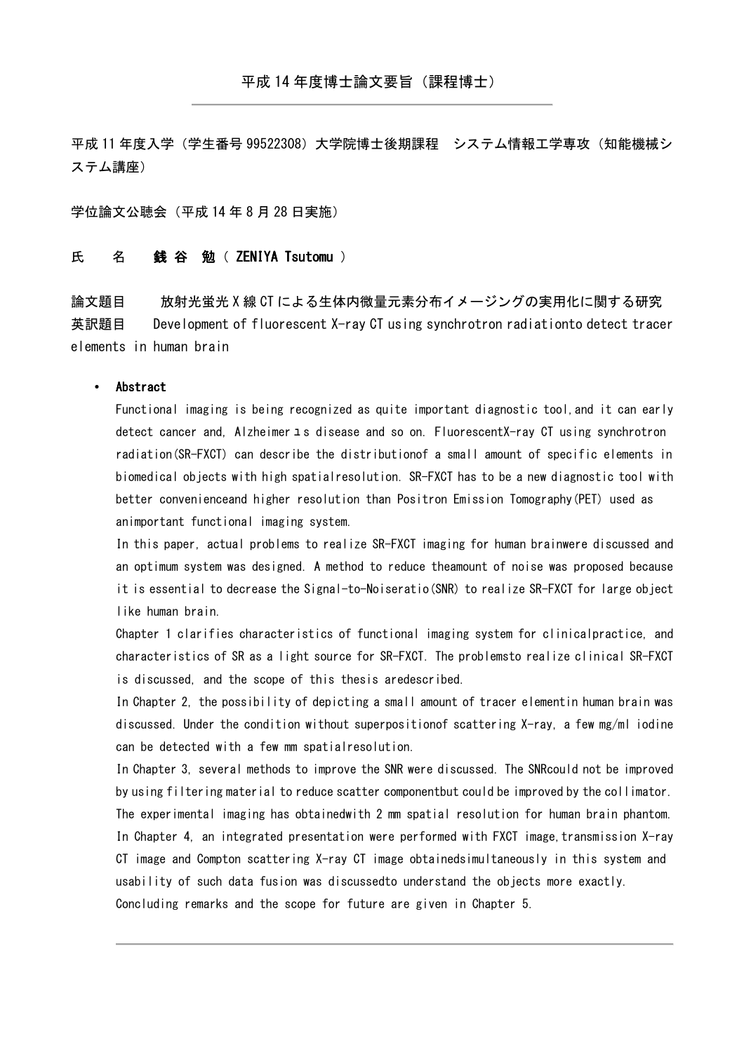平成 11 年度入学(学生番号 99522308) 大学院博士後期課程 システム情報工学専攻 (知能機械シ ステム講座)

学位論文公聴会(平成 14 年 8 月 28 日実施)

## 氏 名 銭谷 勉( ZENIYA Tsutomu )

論文題目 放射光蛍光 X 線 CT による生体内微量元素分布イメージングの実用化に関する研究 英訳題目 Development of fluorescent X-ray CT using synchrotron radiationto detect tracer elements in human brain

## • Abstract

Functional imaging is being recognized as quite important diagnostic tool,and it can early detect cancer and, Alzheimer ユ s disease and so on. FluorescentX-ray CT using synchrotron radiation(SR-FXCT) can describe the distributionof a small amount of specific elements in biomedical objects with high spatialresolution. SR-FXCT has to be a new diagnostic tool with better convenienceand higher resolution than Positron Emission Tomography(PET) used as animportant functional imaging system.

In this paper, actual problems to realize SR-FXCT imaging for human brainwere discussed and an optimum system was designed. A method to reduce theamount of noise was proposed because it is essential to decrease the Signal-to-Noiseratio(SNR) to realize SR-FXCT for large object like human brain.

Chapter 1 clarifies characteristics of functional imaging system for clinicalpractice, and characteristics of SR as a light source for SR-FXCT. The problemsto realize clinical SR-FXCT is discussed, and the scope of this thesis aredescribed.

In Chapter 2, the possibility of depicting a small amount of tracer elementin human brain was discussed. Under the condition without superpositionof scattering X-ray, a few mg/ml iodine can be detected with a few mm spatialresolution.

In Chapter 3, several methods to improve the SNR were discussed. The SNRcould not be improved by using filtering material to reduce scatter componentbut could be improved by the collimator. The experimental imaging has obtainedwith 2 mm spatial resolution for human brain phantom. In Chapter 4, an integrated presentation were performed with FXCT image, transmission X-ray CT image and Compton scattering X-ray CT image obtainedsimultaneously in this system and usability of such data fusion was discussedto understand the objects more exactly. Concluding remarks and the scope for future are given in Chapter 5.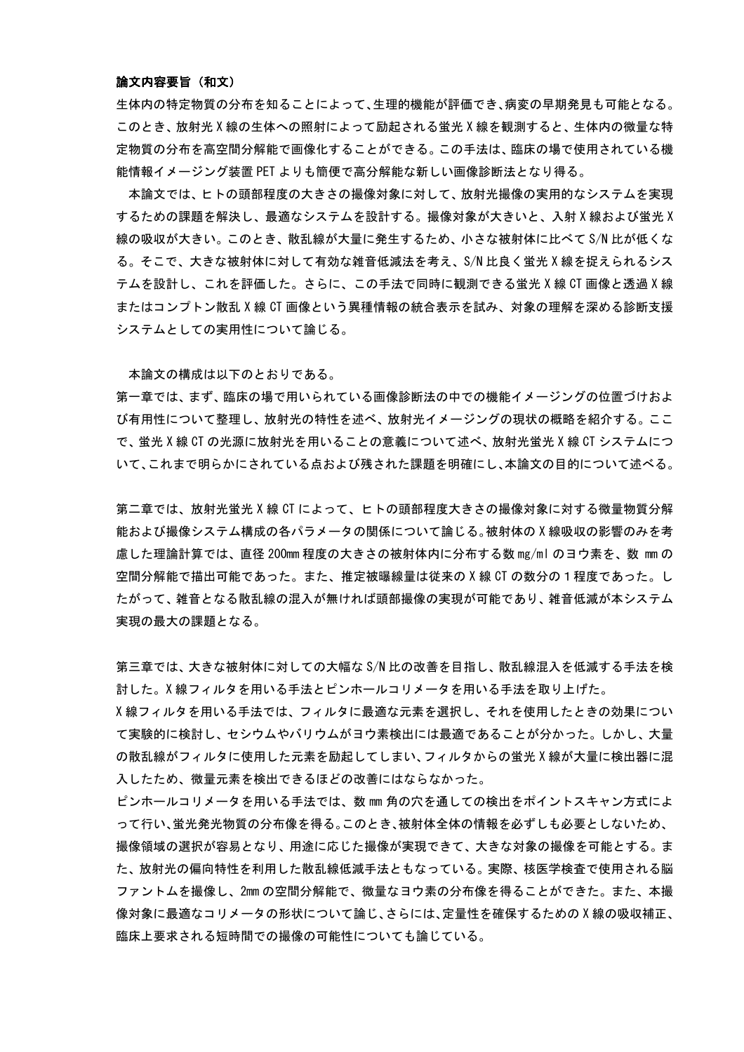## 論文内容要旨(和文)

生体内の特定物質の分布を知ることによって、生理的機能が評価でき、病変の早期発見も可能となる。 このとき、放射光 X 線の生体への照射によって励起される蛍光 X 線を観測すると、生体内の微量な特 定物質の分布を高空間分解能で画像化することができる。この手法は、臨床の場で使用されている機 能情報イメージング装置 PET よりも簡便で高分解能な新しい画像診断法となり得る。

 本論文では、ヒトの頭部程度の大きさの撮像対象に対して、放射光撮像の実用的なシステムを実現 するための課題を解決し、最適なシステムを設計する。撮像対象が大きいと、入射 X 線および蛍光 X 線の吸収が大きい。このとき、散乱線が大量に発生するため、小さな被射体に比べて S/N 比が低くな る。そこで、大きな被射体に対して有効な雑音低減法を考え、S/N 比良く蛍光 X 線を捉えられるシス テムを設計し、これを評価した。さらに、この手法で同時に観測できる蛍光 X 線 CT 画像と透過 X 線 またはコンプトン散乱 X 線 CT 画像という異種情報の統合表示を試み、対象の理解を深める診断支援 システムとしての実用性について論じる。

本論文の構成は以下のとおりである。

第一章では、まず、臨床の場で用いられている画像診断法の中での機能イメージングの位置づけおよ び有用性について整理し、放射光の特性を述べ、放射光イメージングの現状の概略を紹介する。ここ で、蛍光 X 線 CT の光源に放射光を用いることの意義について述べ、放射光蛍光 X 線 CT システムにつ いて、これまで明らかにされている点および残された課題を明確にし、本論文の目的について述べる。

第二章では、放射光蛍光 X 線 CT によって、ヒトの頭部程度大きさの撮像対象に対する微量物質分解 能および撮像システム構成の各パラメータの関係について論じる。被射体の X 線吸収の影響のみを考 慮した理論計算では、直径 200mm 程度の大きさの被射体内に分布する数 mg/ml のヨウ素を、数 mm の 空間分解能で描出可能であった。また、推定被曝線量は従来の X 線 CT の数分の1程度であった。し たがって、雑音となる散乱線の混入が無ければ頭部撮像の実現が可能であり、雑音低減が本システム 実現の最大の課題となる。

第三章では、大きな被射体に対しての大幅な S/N 比の改善を目指し、散乱線混入を低減する手法を検 討した。X 線フィルタを用いる手法とピンホールコリメータを用いる手法を取り上げた。

X 線フィルタを用いる手法では、フィルタに最適な元素を選択し、それを使用したときの効果につい て実験的に検討し、セシウムやバリウムがヨウ素検出には最適であることが分かった。しかし、大量 の散乱線がフィルタに使用した元素を励起してしまい、フィルタからの蛍光 X 線が大量に検出器に混 入したため、微量元素を検出できるほどの改善にはならなかった。

ピンホールコリメータを用いる手法では、数 mm 角の穴を通しての検出をポイントスキャン方式によ って行い、蛍光発光物質の分布像を得る。このとき、被射体全体の情報を必ずしも必要としないため、 撮像領域の選択が容易となり、用途に応じた撮像が実現できて、大きな対象の撮像を可能とする。ま た、放射光の偏向特性を利用した散乱線低減手法ともなっている。実際、核医学検査で使用される脳 ファントムを撮像し、2mm の空間分解能で、微量なヨウ素の分布像を得ることができた。また、本撮 像対象に最適なコリメータの形状について論じ、さらには、定量性を確保するための X 線の吸収補正、 臨床上要求される短時間での撮像の可能性についても論じている。